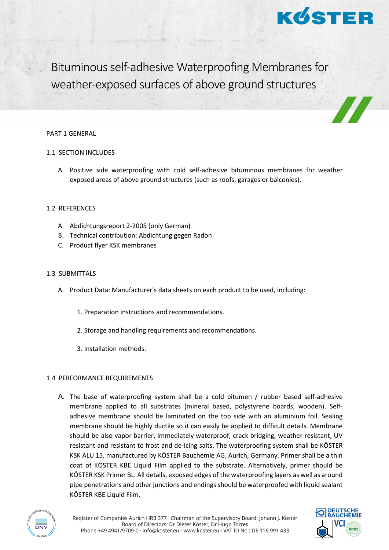

Bituminous self-adhesive Waterproofing Membranes for weather-exposed surfaces of above ground structures

#### PART 1 GENERAL

## 1.1 SECTION INCLUDES

A. Positive side waterproofing with cold self-adhesive bituminous membranes for weather exposed areas of above ground structures (such as roofs, garages or balconies).

### 1.2 REFERENCES

- A. Abdichtungsreport 2-2005 (only German)
- B. Technical contribution: Abdichtung gegen Radon
- C. Product flyer KSK membranes

## 1.3 SUBMITTALS

- A. Product Data: Manufacturer's data sheets on each product to be used, including:
	- 1. Preparation instructions and recommendations.
	- 2. Storage and handling requirements and recommendations.
	- 3. Installation methods.

# 1.4 PERFORMANCE REQUIREMENTS

A. The base of waterproofing system shall be a cold bitumen / rubber based self-adhesive membrane applied to all substrates (mineral based, polystyrene boards, wooden). Selfadhesive membrane should be laminated on the top side with an aluminium foil. Sealing membrane should be highly ductile so it can easily be applied to difficult details. Membrane should be also vapor barrier, immediately waterproof, crack bridging, weather resistant, UV resistant and resistant to frost and de-icing salts. The waterproofing system shall be KÖSTER KSK ALU 15, manufactured by KÖSTER Bauchemie AG, Aurich, Germany. Primer shall be a thin coat of KÖSTER KBE Liquid Film applied to the substrate. Alternatively, primer should be KÖSTER KSK Primer BL. All details, exposed edges of the waterproofing layers as well as around pipe penetrations and other junctions and endings should be waterproofed with liquid sealant KÖSTER KBE Liquid Film.



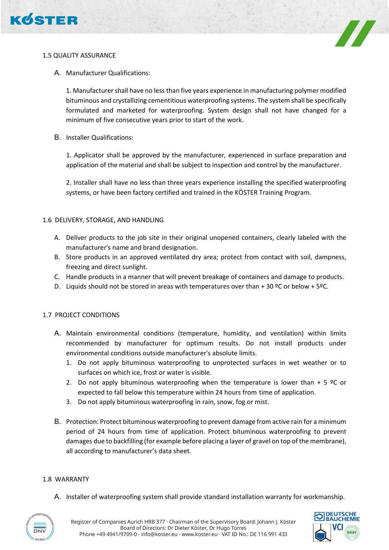





A. Manufacturer Qualifications:

1. Manufacturer shall have no less than five years experience in manufacturing polymer modified bituminous and crystallizing cementitious waterproofing systems. The system shall be specifically formulated and marketed for waterproofing. System design shall not have changed for a minimum of five consecutive years prior to start of the work.

B. Installer Qualifications:

1. Applicator shall be approved by the manufacturer, experienced in surface preparation and application of the material and shall be subject to inspection and control by the manufacturer.

2. Installer shall have no less than three years experience installing the specified waterproofing systems, or have been factory certified and trained in the KÖSTER Training Program.

## 1.6 DELIVERY, STORAGE, AND HANDLING

- A. Deliver products to the job site in their original unopened containers, clearly labeled with the manufacturer's name and brand designation.
- B. Store products in an approved ventilated dry area; protect from contact with soil, dampness, freezing and direct sunlight.
- C. Handle products in a manner that will prevent breakage of containers and damage to products.
- D. Liquids should not be stored in areas with temperatures over than + 30 °C or below + 5°C.

### 1.7 PROJECT CONDITIONS

- A. Maintain environmental conditions (temperature, humidity, and ventilation) within limits recommended by manufacturer for optimum results. Do not install products under environmental conditions outside manufacturer's absolute limits.
	- 1. Do not apply bituminous waterproofing to unprotected surfaces in wet weather or to surfaces on which ice, frost or water is visible.
	- 2. Do not apply bituminous waterproofing when the temperature is lower than  $+5$  °C or expected to fall below this temperature within 24 hours from time of application.
	- 3. Do not apply bituminous waterproofing in rain, snow, fog or mist.
- B. Protection: Protect bituminous waterproofing to prevent damage from active rain for a minimum period of 24 hours from time of application. Protect bituminous waterproofing to prevent damages due to backfilling (for example before placing a layer of gravel on top of the membrane), all according to manufacturer's data sheet.

### 1.8 WARRANTY

A. Installer of waterproofing system shall provide standard installation warranty for workmanship.



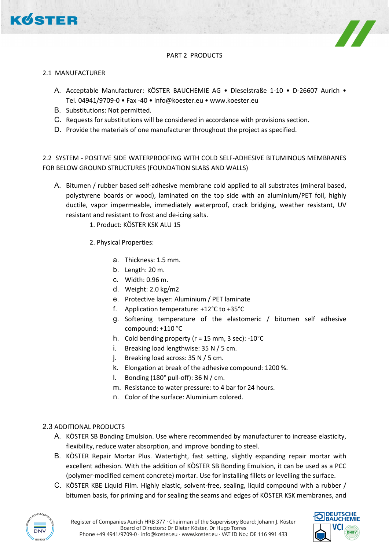

## PART 2 PRODUCTS

### 2.1 MANUFACTURER

- A. Acceptable Manufacturer: KÖSTER BAUCHEMIE AG Dieselstraße 1-10 D-26607 Aurich Tel. 04941/9709-0 • Fax -40 • info@koester.eu • www.koester.eu
- B. Substitutions: Not permitted.
- C. Requests for substitutions will be considered in accordance with provisions section.
- D. Provide the materials of one manufacturer throughout the project as specified.

2.2 SYSTEM - POSITIVE SIDE WATERPROOFING WITH COLD SELF-ADHESIVE BITUMINOUS MEMBRANES FOR BELOW GROUND STRUCTURES (FOUNDATION SLABS AND WALLS)

- A. Bitumen / rubber based self-adhesive membrane cold applied to all substrates (mineral based, polystyrene boards or wood), laminated on the top side with an aluminium/PET foil, highly ductile, vapor impermeable, immediately waterproof, crack bridging, weather resistant, UV resistant and resistant to frost and de-icing salts.
	- 1. Product: KÖSTER KSK ALU 15
	- 2. Physical Properties:
		- a. Thickness: 1.5 mm.
		- b. Length: 20 m.
		- c. Width: 0.96 m.
		- d. Weight: 2.0 kg/m2
		- e. Protective layer: Aluminium / PET laminate
		- f. Application temperature: +12°C to +35°C
		- g. Softening temperature of the elastomeric / bitumen self adhesive compound: +110 °C
		- h. Cold bending property ( $r = 15$  mm, 3 sec): -10 $^{\circ}$ C
		- i. Breaking load lengthwise: 35 N / 5 cm.
		- j. Breaking load across: 35 N / 5 cm.
		- k. Elongation at break of the adhesive compound: 1200 %.
		- l. Bonding (180° pull-off): 36 N / cm.
		- m. Resistance to water pressure: to 4 bar for 24 hours.
		- n. Color of the surface: Aluminium colored.

### 2.3 ADDITIONAL PRODUCTS

- A. KÖSTER SB Bonding Emulsion. Use where recommended by manufacturer to increase elasticity, flexibility, reduce water absorption, and improve bonding to steel.
- B. KÖSTER Repair Mortar Plus. Watertight, fast setting, slightly expanding repair mortar with excellent adhesion. With the addition of KÖSTER SB Bonding Emulsion, it can be used as a PCC (polymer-modified cement concrete) mortar. Use for installing fillets or levelling the surface.
- C. KÖSTER KBE Liquid Film. Highly elastic, solvent-free, sealing, liquid compound with a rubber / bitumen basis, for priming and for sealing the seams and edges of KÖSTER KSK membranes, and



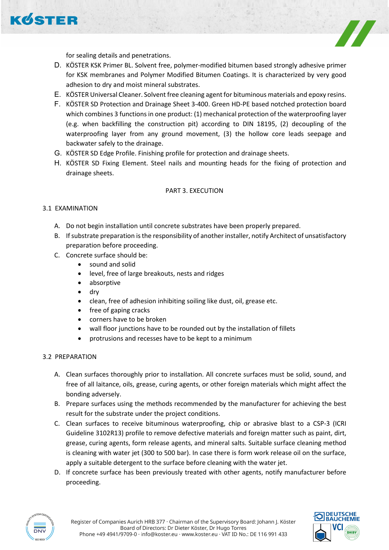



for sealing details and penetrations.

- D. KÖSTER KSK Primer BL. Solvent free, polymer-modified bitumen based strongly adhesive primer for KSK membranes and Polymer Modified Bitumen Coatings. It is characterized by very good adhesion to dry and moist mineral substrates.
- E. KÖSTER Universal Cleaner. Solvent free cleaning agent for bituminous materials and epoxy resins.
- F. KÖSTER SD Protection and Drainage Sheet 3-400. Green HD-PE based notched protection board which combines 3 functions in one product: (1) mechanical protection of the waterproofing layer (e.g. when backfilling the construction pit) according to DIN 18195, (2) decoupling of the waterproofing layer from any ground movement, (3) the hollow core leads seepage and backwater safely to the drainage.
- G. KÖSTER SD Edge Profile. Finishing profile for protection and drainage sheets.
- H. KÖSTER SD Fixing Element. Steel nails and mounting heads for the fixing of protection and drainage sheets.

## PART 3. EXECUTION

## 3.1 EXAMINATION

- A. Do not begin installation until concrete substrates have been properly prepared.
- B. If substrate preparation is the responsibility of another installer, notify Architect of unsatisfactory preparation before proceeding.
- C. Concrete surface should be:
	- sound and solid
	- level, free of large breakouts, nests and ridges
	- absorptive
	- dry
	- clean, free of adhesion inhibiting soiling like dust, oil, grease etc.
	- free of gaping cracks
	- corners have to be broken
	- wall floor junctions have to be rounded out by the installation of fillets
	- protrusions and recesses have to be kept to a minimum

### 3.2 PREPARATION

- A. Clean surfaces thoroughly prior to installation. All concrete surfaces must be solid, sound, and free of all laitance, oils, grease, curing agents, or other foreign materials which might affect the bonding adversely.
- B. Prepare surfaces using the methods recommended by the manufacturer for achieving the best result for the substrate under the project conditions.
- C. Clean surfaces to receive bituminous waterproofing, chip or abrasive blast to a CSP-3 (ICRI Guideline 3102R13) profile to remove defective materials and foreign matter such as paint, dirt, grease, curing agents, form release agents, and mineral salts. Suitable surface cleaning method is cleaning with water jet (300 to 500 bar). In case there is form work release oil on the surface, apply a suitable detergent to the surface before cleaning with the water jet.
- D. If concrete surface has been previously treated with other agents, notify manufacturer before proceeding.



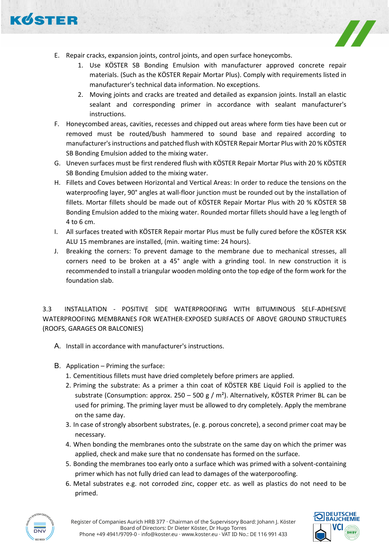



- E. Repair cracks, expansion joints, control joints, and open surface honeycombs.
	- 1. Use KÖSTER SB Bonding Emulsion with manufacturer approved concrete repair materials. (Such as the KÖSTER Repair Mortar Plus). Comply with requirements listed in manufacturer's technical data information. No exceptions.
	- 2. Moving joints and cracks are treated and detailed as expansion joints. Install an elastic sealant and corresponding primer in accordance with sealant manufacturer's instructions.
- F. Honeycombed areas, cavities, recesses and chipped out areas where form ties have been cut or removed must be routed/bush hammered to sound base and repaired according to manufacturer's instructions and patched flush with KÖSTER Repair Mortar Plus with 20 % KÖSTER SB Bonding Emulsion added to the mixing water.
- G. Uneven surfaces must be first rendered flush with KÖSTER Repair Mortar Plus with 20 % KÖSTER SB Bonding Emulsion added to the mixing water.
- H. Fillets and Coves between Horizontal and Vertical Areas: In order to reduce the tensions on the waterproofing layer, 90° angles at wall-floor junction must be rounded out by the installation of fillets. Mortar fillets should be made out of KÖSTER Repair Mortar Plus with 20 % KÖSTER SB Bonding Emulsion added to the mixing water. Rounded mortar fillets should have a leg length of 4 to 6 cm.
- I. All surfaces treated with KÖSTER Repair mortar Plus must be fully cured before the KÖSTER KSK ALU 15 membranes are installed, (min. waiting time: 24 hours).
- J. Breaking the corners: To prevent damage to the membrane due to mechanical stresses, all corners need to be broken at a 45° angle with a grinding tool. In new construction it is recommended to install a triangular wooden molding onto the top edge of the form work for the foundation slab.

3.3 INSTALLATION - POSITIVE SIDE WATERPROOFING WITH BITUMINOUS SELF-ADHESIVE WATERPROOFING MEMBRANES FOR WEATHER-EXPOSED SURFACES OF ABOVE GROUND STRUCTURES (ROOFS, GARAGES OR BALCONIES)

- A. Install in accordance with manufacturer's instructions.
- B. Application Priming the surface:
	- 1. Cementitious fillets must have dried completely before primers are applied.
	- 2. Priming the substrate: As a primer a thin coat of KÖSTER KBE Liquid Foil is applied to the substrate (Consumption: approx. 250 – 500 g /  $m<sup>2</sup>$ ). Alternatively, KÖSTER Primer BL can be used for priming. The priming layer must be allowed to dry completely. Apply the membrane on the same day.
	- 3. In case of strongly absorbent substrates, (e. g. porous concrete), a second primer coat may be necessary.
	- 4. When bonding the membranes onto the substrate on the same day on which the primer was applied, check and make sure that no condensate has formed on the surface.
	- 5. Bonding the membranes too early onto a surface which was primed with a solvent-containing primer which has not fully dried can lead to damages of the waterporoofing.
	- 6. Metal substrates e.g. not corroded zinc, copper etc. as well as plastics do not need to be primed.



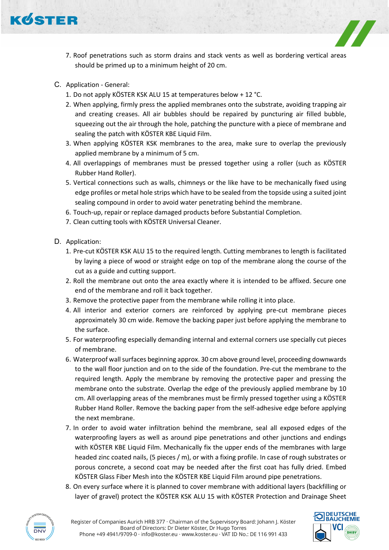

- 7. Roof penetrations such as storm drains and stack vents as well as bordering vertical areas should be primed up to a minimum height of 20 cm.
- C. Application General:
	- 1. Do not apply KÖSTER KSK ALU 15 at temperatures below + 12 °C.
	- 2. When applying, firmly press the applied membranes onto the substrate, avoiding trapping air and creating creases. All air bubbles should be repaired by puncturing air filled bubble, squeezing out the air through the hole, patching the puncture with a piece of membrane and sealing the patch with KÖSTER KBE Liquid Film.
	- 3. When applying KÖSTER KSK membranes to the area, make sure to overlap the previously applied membrane by a minimum of 5 cm.
	- 4. All overlappings of membranes must be pressed together using a roller (such as KÖSTER Rubber Hand Roller).
	- 5. Vertical connections such as walls, chimneys or the like have to be mechanically fixed using edge profiles or metal hole strips which have to be sealed from the topside using a suited joint sealing compound in order to avoid water penetrating behind the membrane.
	- 6. Touch-up, repair or replace damaged products before Substantial Completion.
	- 7. Clean cutting tools with KÖSTER Universal Cleaner.
- D. Application:
	- 1. Pre-cut KÖSTER KSK ALU 15 to the required length. Cutting membranes to length is facilitated by laying a piece of wood or straight edge on top of the membrane along the course of the cut as a guide and cutting support.
	- 2. Roll the membrane out onto the area exactly where it is intended to be affixed. Secure one end of the membrane and roll it back together.
	- 3. Remove the protective paper from the membrane while rolling it into place.
	- 4. All interior and exterior corners are reinforced by applying pre-cut membrane pieces approximately 30 cm wide. Remove the backing paper just before applying the membrane to the surface.
	- 5. For waterproofing especially demanding internal and external corners use specially cut pieces of membrane.
	- 6. Waterproof wall surfaces beginning approx. 30 cm above ground level, proceeding downwards to the wall floor junction and on to the side of the foundation. Pre-cut the membrane to the required length. Apply the membrane by removing the protective paper and pressing the membrane onto the substrate. Overlap the edge of the previously applied membrane by 10 cm. All overlapping areas of the membranes must be firmly pressed together using a KÖSTER Rubber Hand Roller. Remove the backing paper from the self-adhesive edge before applying the next membrane.
	- 7. In order to avoid water infiltration behind the membrane, seal all exposed edges of the waterproofing layers as well as around pipe penetrations and other junctions and endings with KÖSTER KBE Liquid Film. Mechanically fix the upper ends of the membranes with large headed zinc coated nails, (5 pieces / m), or with a fixing profile. In case of rough substrates or porous concrete, a second coat may be needed after the first coat has fully dried. Embed KÖSTER Glass Fiber Mesh into the KÖSTER KBE Liquid Film around pipe penetrations.
	- 8. On every surface where it is planned to cover membrane with additional layers (backfilling or layer of gravel) protect the KÖSTER KSK ALU 15 with KÖSTER Protection and Drainage Sheet